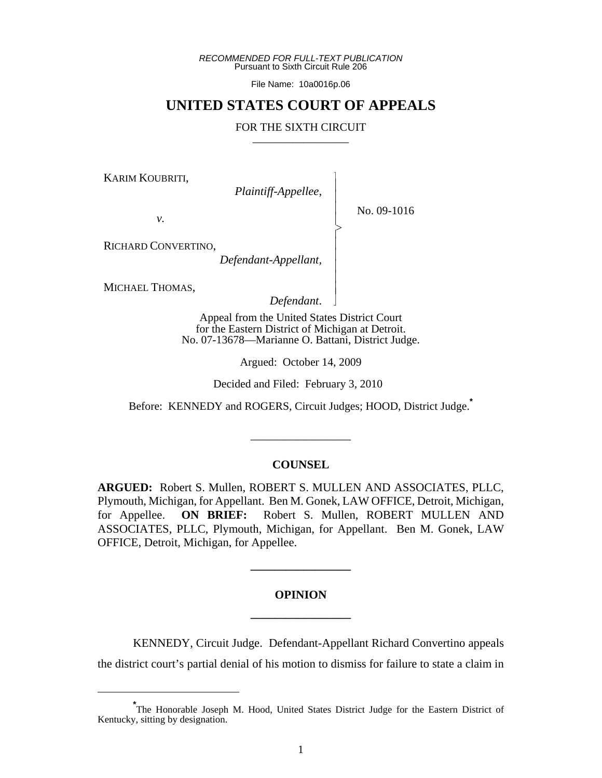*RECOMMENDED FOR FULL-TEXT PUBLICATION* Pursuant to Sixth Circuit Rule 206

File Name: 10a0016p.06

## **UNITED STATES COURT OF APPEALS**

#### FOR THE SIXTH CIRCUIT

 $\overline{\phantom{a}}$ - - - > , - - - - - N

KARIM KOUBRITI,

*Plaintiff-Appellee,*

No. 09-1016

*v.*

RICHARD CONVERTINO,

*Defendant-Appellant,*

MICHAEL THOMAS,

*Defendant*.

Appeal from the United States District Court for the Eastern District of Michigan at Detroit. No. 07-13678—Marianne O. Battani, District Judge.

Argued: October 14, 2009

Decided and Filed: February 3, 2010

Before: KENNEDY and ROGERS, Circuit Judges; HOOD, District Judge.**\***

#### **COUNSEL**

\_\_\_\_\_\_\_\_\_\_\_\_\_\_\_\_\_

**ARGUED:** Robert S. Mullen, ROBERT S. MULLEN AND ASSOCIATES, PLLC, Plymouth, Michigan, for Appellant. Ben M. Gonek, LAW OFFICE, Detroit, Michigan, for Appellee. **ON BRIEF:** Robert S. Mullen, ROBERT MULLEN AND ASSOCIATES, PLLC, Plymouth, Michigan, for Appellant. Ben M. Gonek, LAW OFFICE, Detroit, Michigan, for Appellee.

# **OPINION \_\_\_\_\_\_\_\_\_\_\_\_\_\_\_\_\_**

**\_\_\_\_\_\_\_\_\_\_\_\_\_\_\_\_\_**

KENNEDY, Circuit Judge. Defendant-Appellant Richard Convertino appeals the district court's partial denial of his motion to dismiss for failure to state a claim in

**<sup>\*</sup>** The Honorable Joseph M. Hood, United States District Judge for the Eastern District of Kentucky, sitting by designation.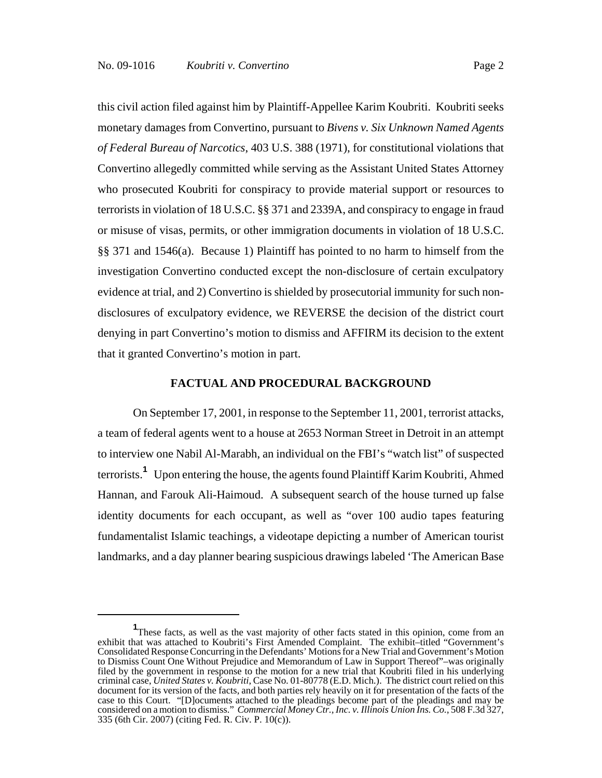this civil action filed against him by Plaintiff-Appellee Karim Koubriti. Koubriti seeks monetary damages from Convertino, pursuant to *Bivens v. Six Unknown Named Agents of Federal Bureau of Narcotics*, 403 U.S. 388 (1971), for constitutional violations that Convertino allegedly committed while serving as the Assistant United States Attorney who prosecuted Koubriti for conspiracy to provide material support or resources to terrorists in violation of 18 U.S.C. §§ 371 and 2339A, and conspiracy to engage in fraud or misuse of visas, permits, or other immigration documents in violation of 18 U.S.C. §§ 371 and 1546(a). Because 1) Plaintiff has pointed to no harm to himself from the investigation Convertino conducted except the non-disclosure of certain exculpatory evidence at trial, and 2) Convertino is shielded by prosecutorial immunity for such nondisclosures of exculpatory evidence, we REVERSE the decision of the district court denying in part Convertino's motion to dismiss and AFFIRM its decision to the extent that it granted Convertino's motion in part.

#### **FACTUAL AND PROCEDURAL BACKGROUND**

On September 17, 2001, in response to the September 11, 2001, terrorist attacks, a team of federal agents went to a house at 2653 Norman Street in Detroit in an attempt to interview one Nabil Al-Marabh, an individual on the FBI's "watch list" of suspected terrorists.**<sup>1</sup>** Upon entering the house, the agents found Plaintiff Karim Koubriti, Ahmed Hannan, and Farouk Ali-Haimoud. A subsequent search of the house turned up false identity documents for each occupant, as well as "over 100 audio tapes featuring fundamentalist Islamic teachings, a videotape depicting a number of American tourist landmarks, and a day planner bearing suspicious drawings labeled 'The American Base

<sup>&</sup>lt;sup>1</sup>These facts, as well as the vast majority of other facts stated in this opinion, come from an exhibit that was attached to Koubriti's First Amended Complaint. The exhibit–titled "Government's Consolidated Response Concurring in the Defendants' Motions for a New Trial and Government's Motion to Dismiss Count One Without Prejudice and Memorandum of Law in Support Thereof"–was originally filed by the government in response to the motion for a new trial that Koubriti filed in his underlying criminal case, *United States v. Koubriti*, Case No. 01-80778 (E.D. Mich.). The district court relied on this document for its version of the facts, and both parties rely heavily on it for presentation of the facts of the case to this Court. "[D]ocuments attached to the pleadings become part of the pleadings and may be considered on a motion to dismiss." *Commercial Money Ctr., Inc. v. Illinois Union Ins. Co.*, 508 F.3d 327, 335 (6th Cir. 2007) (citing Fed. R. Civ. P. 10(c)).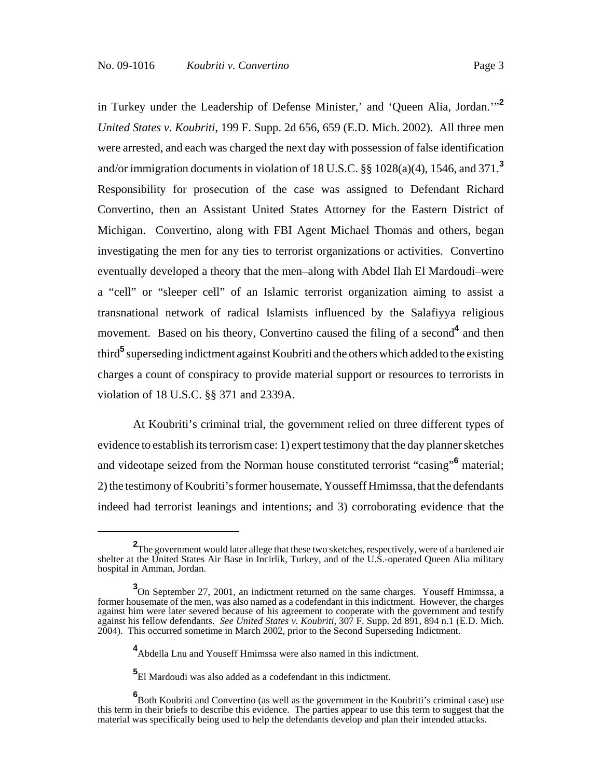in Turkey under the Leadership of Defense Minister,' and 'Queen Alia, Jordan.'"**<sup>2</sup>** *United States v. Koubriti*, 199 F. Supp. 2d 656, 659 (E.D. Mich. 2002). All three men were arrested, and each was charged the next day with possession of false identification and/or immigration documents in violation of 18 U.S.C. §§ 1028(a)(4), 1546, and 371.**<sup>3</sup>** Responsibility for prosecution of the case was assigned to Defendant Richard Convertino, then an Assistant United States Attorney for the Eastern District of Michigan. Convertino, along with FBI Agent Michael Thomas and others, began investigating the men for any ties to terrorist organizations or activities. Convertino eventually developed a theory that the men–along with Abdel Ilah El Mardoudi–were a "cell" or "sleeper cell" of an Islamic terrorist organization aiming to assist a transnational network of radical Islamists influenced by the Salafiyya religious movement. Based on his theory, Convertino caused the filing of a second<sup>4</sup> and then third<sup>5</sup> superseding indictment against Koubriti and the others which added to the existing charges a count of conspiracy to provide material support or resources to terrorists in violation of 18 U.S.C. §§ 371 and 2339A.

At Koubriti's criminal trial, the government relied on three different types of evidence to establish its terrorism case: 1) expert testimony that the day planner sketches and videotape seized from the Norman house constituted terrorist "casing"**<sup>6</sup>** material; 2) the testimony of Koubriti's former housemate, Yousseff Hmimssa, that the defendants indeed had terrorist leanings and intentions; and 3) corroborating evidence that the

**<sup>2</sup>** The government would later allege that these two sketches, respectively, were of a hardened air shelter at the United States Air Base in Incirlik, Turkey, and of the U.S.-operated Queen Alia military hospital in Amman, Jordan.

<sup>&</sup>lt;sup>3</sup>On September 27, 2001, an indictment returned on the same charges. Youseff Hmimssa, a former housemate of the men, was also named as a codefendant in this indictment. However, the charges against him were later severed because of his agreement to cooperate with the government and testify against his fellow defendants. *See United States v. Koubriti*, 307 F. Supp. 2d 891, 894 n.1 (E.D. Mich. 2004). This occurred sometime in March 2002, prior to the Second Superseding Indictment.

**<sup>4</sup>** Abdella Lnu and Youseff Hmimssa were also named in this indictment.

**<sup>5</sup>** El Mardoudi was also added as a codefendant in this indictment.

**<sup>6</sup>** Both Koubriti and Convertino (as well as the government in the Koubriti's criminal case) use this term in their briefs to describe this evidence. The parties appear to use this term to suggest that the material was specifically being used to help the defendants develop and plan their intended attacks.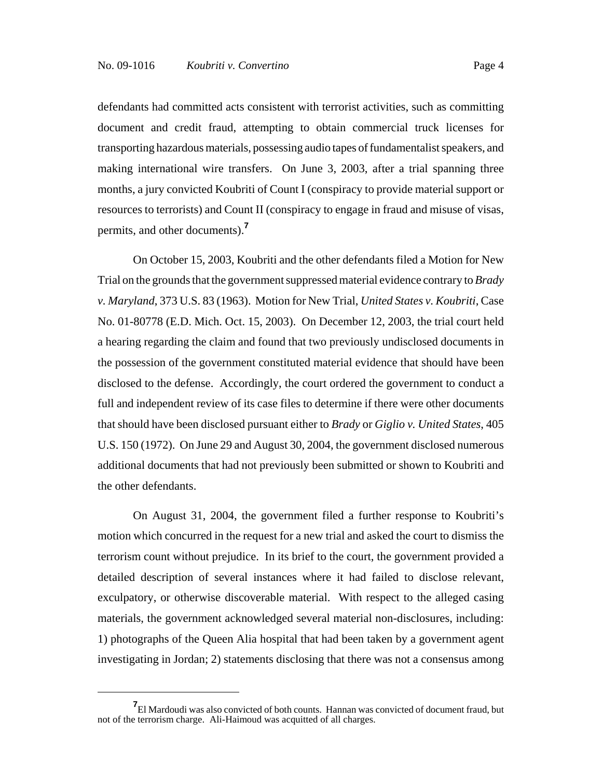defendants had committed acts consistent with terrorist activities, such as committing document and credit fraud, attempting to obtain commercial truck licenses for transporting hazardous materials, possessing audio tapes of fundamentalist speakers, and making international wire transfers. On June 3, 2003, after a trial spanning three months, a jury convicted Koubriti of Count I (conspiracy to provide material support or resources to terrorists) and Count II (conspiracy to engage in fraud and misuse of visas, permits, and other documents).**<sup>7</sup>**

On October 15, 2003, Koubriti and the other defendants filed a Motion for New Trial on the grounds that the government suppressed material evidence contrary to *Brady v. Maryland*, 373 U.S. 83 (1963). Motion for New Trial, *United States v. Koubriti*, Case No. 01-80778 (E.D. Mich. Oct. 15, 2003). On December 12, 2003, the trial court held a hearing regarding the claim and found that two previously undisclosed documents in the possession of the government constituted material evidence that should have been disclosed to the defense. Accordingly, the court ordered the government to conduct a full and independent review of its case files to determine if there were other documents that should have been disclosed pursuant either to *Brady* or *Giglio v. United States*, 405 U.S. 150 (1972). On June 29 and August 30, 2004, the government disclosed numerous additional documents that had not previously been submitted or shown to Koubriti and the other defendants.

On August 31, 2004, the government filed a further response to Koubriti's motion which concurred in the request for a new trial and asked the court to dismiss the terrorism count without prejudice. In its brief to the court, the government provided a detailed description of several instances where it had failed to disclose relevant, exculpatory, or otherwise discoverable material. With respect to the alleged casing materials, the government acknowledged several material non-disclosures, including: 1) photographs of the Queen Alia hospital that had been taken by a government agent investigating in Jordan; 2) statements disclosing that there was not a consensus among

**<sup>7</sup>** El Mardoudi was also convicted of both counts. Hannan was convicted of document fraud, but not of the terrorism charge. Ali-Haimoud was acquitted of all charges.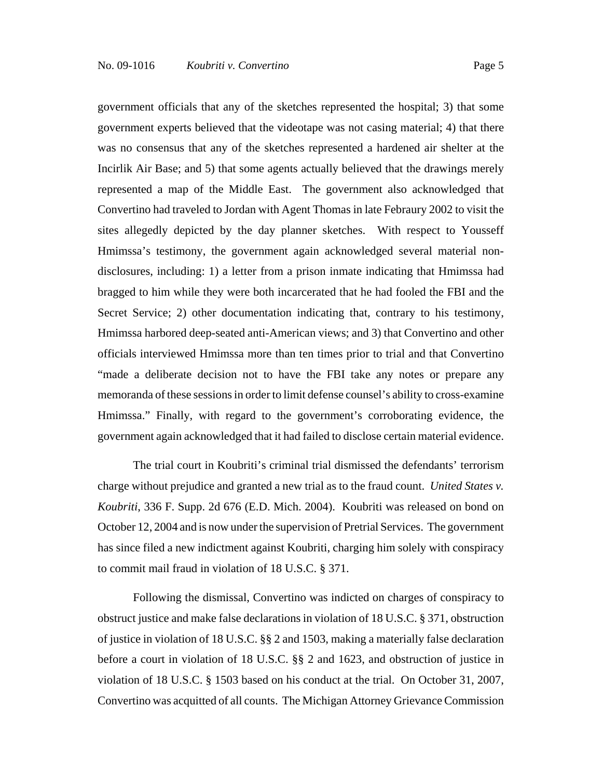government officials that any of the sketches represented the hospital; 3) that some government experts believed that the videotape was not casing material; 4) that there was no consensus that any of the sketches represented a hardened air shelter at the Incirlik Air Base; and 5) that some agents actually believed that the drawings merely represented a map of the Middle East. The government also acknowledged that Convertino had traveled to Jordan with Agent Thomas in late Febraury 2002 to visit the sites allegedly depicted by the day planner sketches. With respect to Yousseff Hmimssa's testimony, the government again acknowledged several material nondisclosures, including: 1) a letter from a prison inmate indicating that Hmimssa had bragged to him while they were both incarcerated that he had fooled the FBI and the Secret Service; 2) other documentation indicating that, contrary to his testimony, Hmimssa harbored deep-seated anti-American views; and 3) that Convertino and other officials interviewed Hmimssa more than ten times prior to trial and that Convertino "made a deliberate decision not to have the FBI take any notes or prepare any memoranda of these sessions in order to limit defense counsel's ability to cross-examine Hmimssa." Finally, with regard to the government's corroborating evidence, the government again acknowledged that it had failed to disclose certain material evidence.

The trial court in Koubriti's criminal trial dismissed the defendants' terrorism charge without prejudice and granted a new trial as to the fraud count. *United States v. Koubriti*, 336 F. Supp. 2d 676 (E.D. Mich. 2004). Koubriti was released on bond on October 12, 2004 and is now under the supervision of Pretrial Services. The government has since filed a new indictment against Koubriti, charging him solely with conspiracy to commit mail fraud in violation of 18 U.S.C. § 371.

Following the dismissal, Convertino was indicted on charges of conspiracy to obstruct justice and make false declarations in violation of 18 U.S.C. § 371, obstruction of justice in violation of 18 U.S.C. §§ 2 and 1503, making a materially false declaration before a court in violation of 18 U.S.C. §§ 2 and 1623, and obstruction of justice in violation of 18 U.S.C. § 1503 based on his conduct at the trial. On October 31, 2007, Convertino was acquitted of all counts. The Michigan Attorney Grievance Commission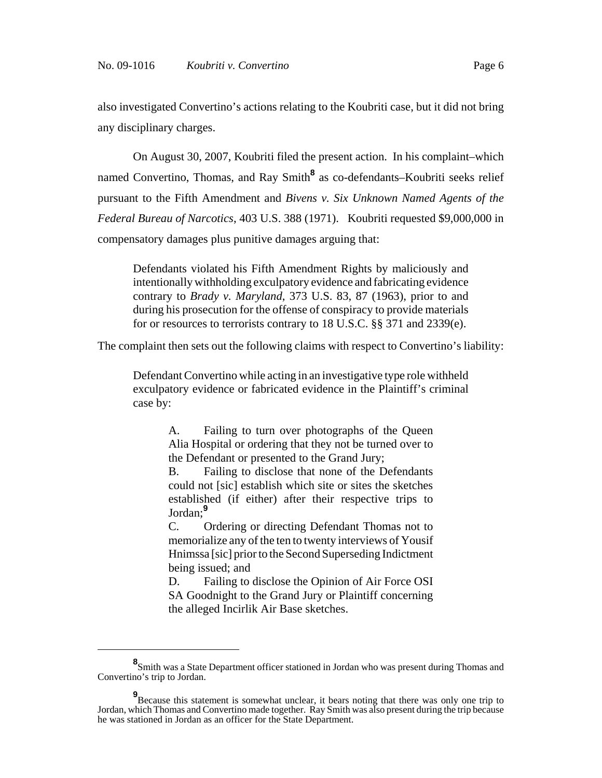also investigated Convertino's actions relating to the Koubriti case, but it did not bring any disciplinary charges.

On August 30, 2007, Koubriti filed the present action. In his complaint–which named Convertino, Thomas, and Ray Smith<sup>8</sup> as co-defendants–Koubriti seeks relief pursuant to the Fifth Amendment and *Bivens v. Six Unknown Named Agents of the Federal Bureau of Narcotics*, 403 U.S. 388 (1971). Koubriti requested \$9,000,000 in compensatory damages plus punitive damages arguing that:

Defendants violated his Fifth Amendment Rights by maliciously and intentionally withholding exculpatory evidence and fabricating evidence contrary to *Brady v. Maryland*, 373 U.S. 83, 87 (1963), prior to and during his prosecution for the offense of conspiracy to provide materials for or resources to terrorists contrary to 18 U.S.C. §§ 371 and 2339(e).

The complaint then sets out the following claims with respect to Convertino's liability:

Defendant Convertino while acting in an investigative type role withheld exculpatory evidence or fabricated evidence in the Plaintiff's criminal case by:

> A. Failing to turn over photographs of the Queen Alia Hospital or ordering that they not be turned over to the Defendant or presented to the Grand Jury;

> B. Failing to disclose that none of the Defendants could not [sic] establish which site or sites the sketches established (if either) after their respective trips to Jordan;**<sup>9</sup>**

> C. Ordering or directing Defendant Thomas not to memorialize any of the ten to twenty interviews of Yousif Hnimssa [sic] prior to the Second Superseding Indictment being issued; and

> D. Failing to disclose the Opinion of Air Force OSI SA Goodnight to the Grand Jury or Plaintiff concerning the alleged Incirlik Air Base sketches.

**<sup>8</sup>** Smith was a State Department officer stationed in Jordan who was present during Thomas and Convertino's trip to Jordan.

**<sup>9</sup>** Because this statement is somewhat unclear, it bears noting that there was only one trip to Jordan, which Thomas and Convertino made together. Ray Smith was also present during the trip because he was stationed in Jordan as an officer for the State Department.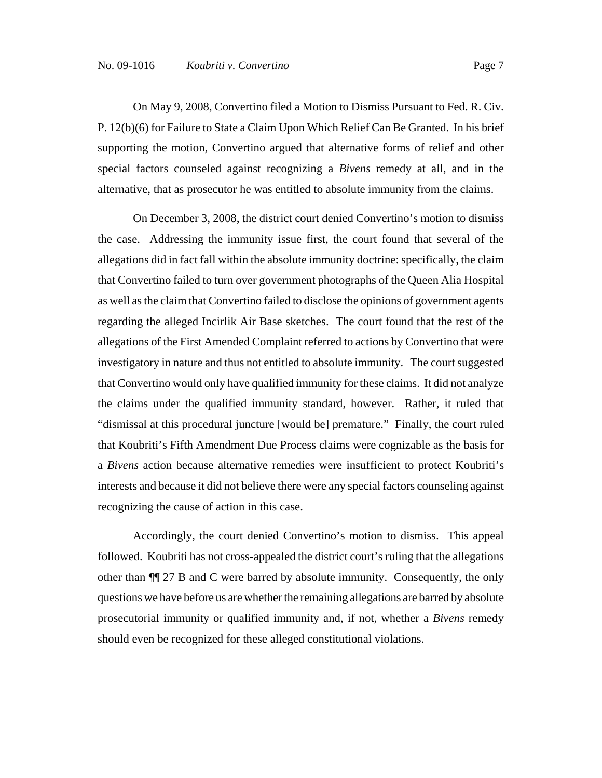On May 9, 2008, Convertino filed a Motion to Dismiss Pursuant to Fed. R. Civ. P. 12(b)(6) for Failure to State a Claim Upon Which Relief Can Be Granted. In his brief supporting the motion, Convertino argued that alternative forms of relief and other special factors counseled against recognizing a *Bivens* remedy at all, and in the alternative, that as prosecutor he was entitled to absolute immunity from the claims.

On December 3, 2008, the district court denied Convertino's motion to dismiss the case. Addressing the immunity issue first, the court found that several of the allegations did in fact fall within the absolute immunity doctrine: specifically, the claim that Convertino failed to turn over government photographs of the Queen Alia Hospital as well as the claim that Convertino failed to disclose the opinions of government agents regarding the alleged Incirlik Air Base sketches. The court found that the rest of the allegations of the First Amended Complaint referred to actions by Convertino that were investigatory in nature and thus not entitled to absolute immunity. The court suggested that Convertino would only have qualified immunity for these claims. It did not analyze the claims under the qualified immunity standard, however. Rather, it ruled that "dismissal at this procedural juncture [would be] premature." Finally, the court ruled that Koubriti's Fifth Amendment Due Process claims were cognizable as the basis for a *Bivens* action because alternative remedies were insufficient to protect Koubriti's interests and because it did not believe there were any special factors counseling against recognizing the cause of action in this case.

Accordingly, the court denied Convertino's motion to dismiss. This appeal followed. Koubriti has not cross-appealed the district court's ruling that the allegations other than ¶¶ 27 B and C were barred by absolute immunity. Consequently, the only questions we have before us are whether the remaining allegations are barred by absolute prosecutorial immunity or qualified immunity and, if not, whether a *Bivens* remedy should even be recognized for these alleged constitutional violations.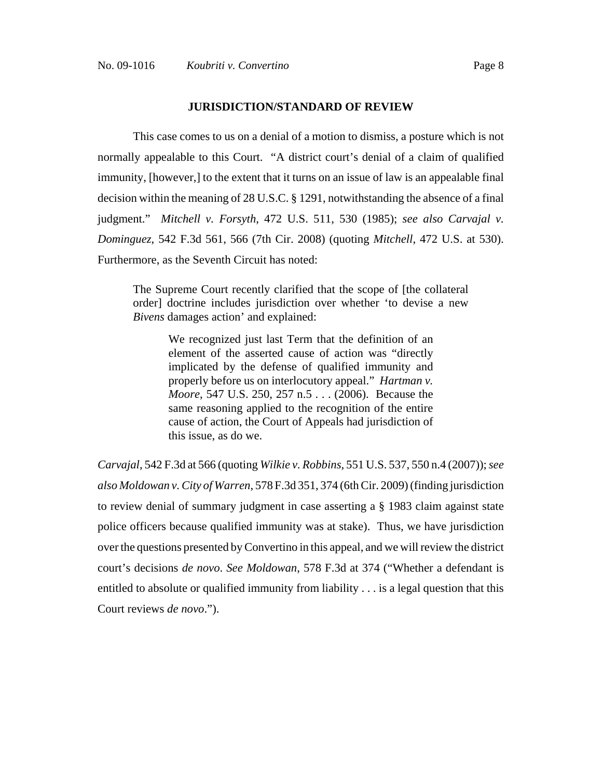#### **JURISDICTION/STANDARD OF REVIEW**

This case comes to us on a denial of a motion to dismiss, a posture which is not normally appealable to this Court. "A district court's denial of a claim of qualified immunity, [however,] to the extent that it turns on an issue of law is an appealable final decision within the meaning of 28 U.S.C. § 1291, notwithstanding the absence of a final judgment." *Mitchell v. Forsyth*, 472 U.S. 511, 530 (1985); *see also Carvajal v. Dominguez*, 542 F.3d 561, 566 (7th Cir. 2008) (quoting *Mitchell*, 472 U.S. at 530). Furthermore, as the Seventh Circuit has noted:

The Supreme Court recently clarified that the scope of [the collateral order] doctrine includes jurisdiction over whether 'to devise a new *Bivens* damages action' and explained:

> We recognized just last Term that the definition of an element of the asserted cause of action was "directly implicated by the defense of qualified immunity and properly before us on interlocutory appeal." *Hartman v. Moore*, 547 U.S. 250, 257 n.5 . . . (2006). Because the same reasoning applied to the recognition of the entire cause of action, the Court of Appeals had jurisdiction of this issue, as do we.

*Carvajal*, 542 F.3d at 566 (quoting *Wilkie v. Robbins*, 551 U.S. 537, 550 n.4 (2007)); *see also Moldowan v. City of Warren*, 578 F.3d 351, 374 (6th Cir. 2009) (finding jurisdiction to review denial of summary judgment in case asserting a § 1983 claim against state police officers because qualified immunity was at stake). Thus, we have jurisdiction over the questions presented by Convertino in this appeal, and we will review the district court's decisions *de novo*. *See Moldowan*, 578 F.3d at 374 ("Whether a defendant is entitled to absolute or qualified immunity from liability . . . is a legal question that this Court reviews *de novo*.").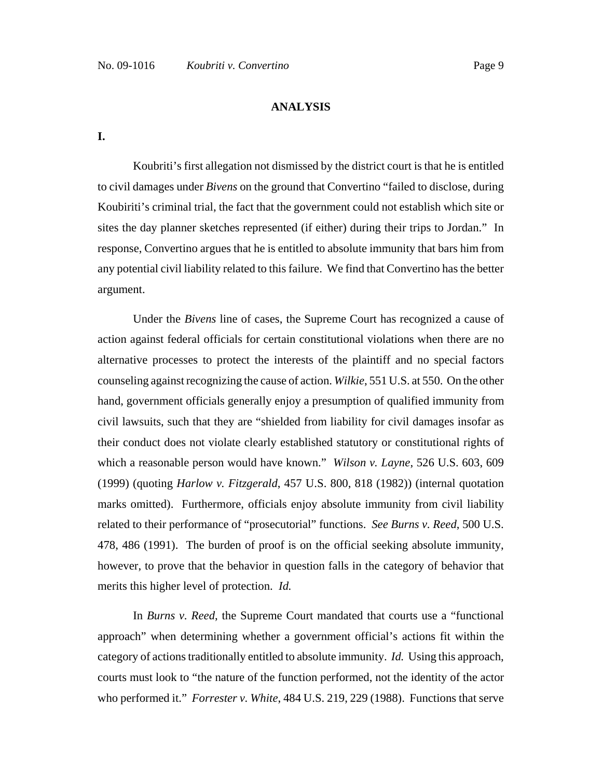#### **ANALYSIS**

**I.**

Koubriti's first allegation not dismissed by the district court is that he is entitled to civil damages under *Bivens* on the ground that Convertino "failed to disclose, during Koubiriti's criminal trial, the fact that the government could not establish which site or sites the day planner sketches represented (if either) during their trips to Jordan." In response, Convertino argues that he is entitled to absolute immunity that bars him from any potential civil liability related to this failure. We find that Convertino has the better argument.

Under the *Bivens* line of cases, the Supreme Court has recognized a cause of action against federal officials for certain constitutional violations when there are no alternative processes to protect the interests of the plaintiff and no special factors counseling against recognizing the cause of action. *Wilkie*, 551 U.S. at 550. On the other hand, government officials generally enjoy a presumption of qualified immunity from civil lawsuits, such that they are "shielded from liability for civil damages insofar as their conduct does not violate clearly established statutory or constitutional rights of which a reasonable person would have known." *Wilson v. Layne*, 526 U.S. 603, 609 (1999) (quoting *Harlow v. Fitzgerald*, 457 U.S. 800, 818 (1982)) (internal quotation marks omitted). Furthermore, officials enjoy absolute immunity from civil liability related to their performance of "prosecutorial" functions. *See Burns v. Reed*, 500 U.S. 478, 486 (1991). The burden of proof is on the official seeking absolute immunity, however, to prove that the behavior in question falls in the category of behavior that merits this higher level of protection. *Id.*

In *Burns v. Reed*, the Supreme Court mandated that courts use a "functional approach" when determining whether a government official's actions fit within the category of actions traditionally entitled to absolute immunity. *Id.* Using this approach, courts must look to "the nature of the function performed, not the identity of the actor who performed it." *Forrester v. White*, 484 U.S. 219, 229 (1988). Functions that serve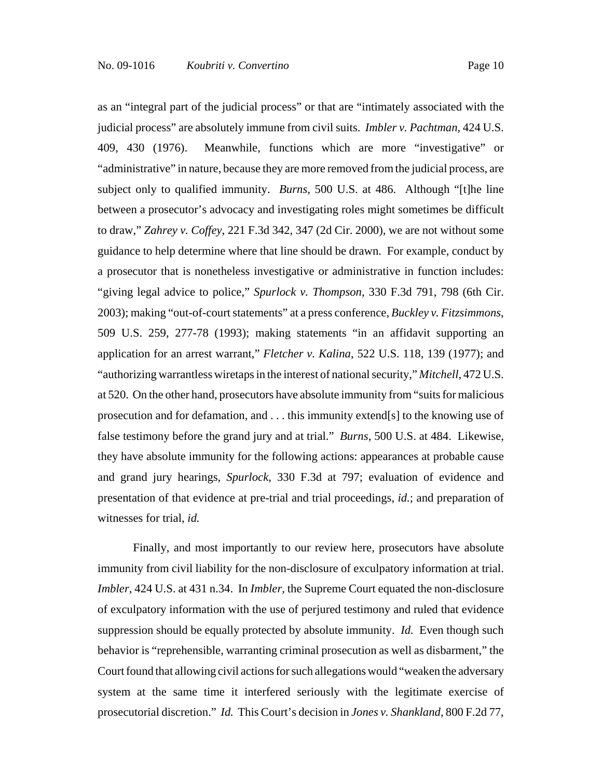as an "integral part of the judicial process" or that are "intimately associated with the judicial process" are absolutely immune from civil suits. *Imbler v. Pachtman*, 424 U.S. 409, 430 (1976). Meanwhile, functions which are more "investigative" or "administrative" in nature, because they are more removed from the judicial process, are subject only to qualified immunity. *Burns*, 500 U.S. at 486. Although "[t]he line between a prosecutor's advocacy and investigating roles might sometimes be difficult to draw," *Zahrey v. Coffey*, 221 F.3d 342, 347 (2d Cir. 2000), we are not without some guidance to help determine where that line should be drawn. For example, conduct by a prosecutor that is nonetheless investigative or administrative in function includes: "giving legal advice to police," *Spurlock v. Thompson*, 330 F.3d 791, 798 (6th Cir. 2003); making "out-of-court statements" at a press conference, *Buckley v. Fitzsimmons*, 509 U.S. 259, 277-78 (1993); making statements "in an affidavit supporting an application for an arrest warrant," *Fletcher v. Kalina*, 522 U.S. 118, 139 (1977); and "authorizing warrantless wiretaps in the interest of national security," *Mitchell*, 472 U.S. at 520. On the other hand, prosecutors have absolute immunity from "suits for malicious prosecution and for defamation, and . . . this immunity extend[s] to the knowing use of false testimony before the grand jury and at trial." *Burns*, 500 U.S. at 484. Likewise, they have absolute immunity for the following actions: appearances at probable cause and grand jury hearings, *Spurlock*, 330 F.3d at 797; evaluation of evidence and presentation of that evidence at pre-trial and trial proceedings, *id.*; and preparation of witnesses for trial, *id.*

Finally, and most importantly to our review here, prosecutors have absolute immunity from civil liability for the non-disclosure of exculpatory information at trial. *Imbler*, 424 U.S. at 431 n.34. In *Imbler*, the Supreme Court equated the non-disclosure of exculpatory information with the use of perjured testimony and ruled that evidence suppression should be equally protected by absolute immunity. *Id.* Even though such behavior is "reprehensible, warranting criminal prosecution as well as disbarment," the Court found that allowing civil actions for such allegations would "weaken the adversary system at the same time it interfered seriously with the legitimate exercise of prosecutorial discretion." *Id.* This Court's decision in *Jones v. Shankland*, 800 F.2d 77,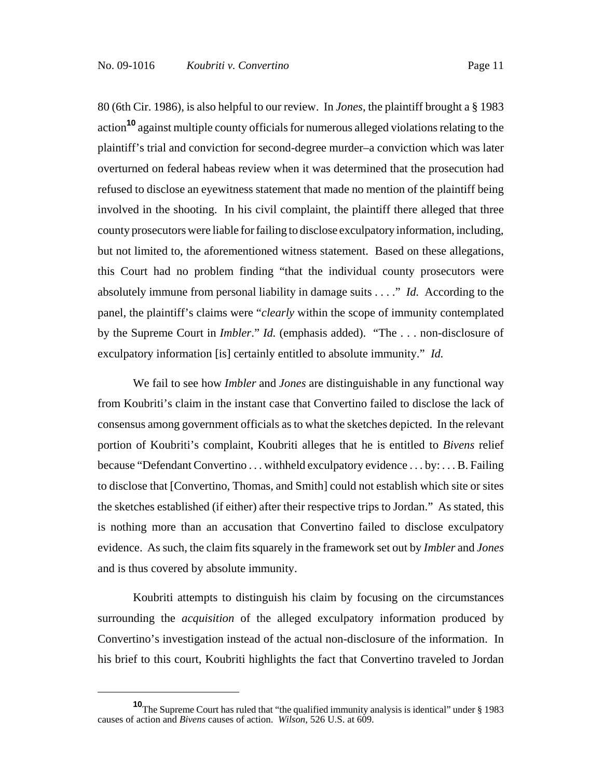80 (6th Cir. 1986), is also helpful to our review. In *Jones*, the plaintiff brought a § 1983 action**10** against multiple county officials for numerous alleged violations relating to the plaintiff's trial and conviction for second-degree murder–a conviction which was later overturned on federal habeas review when it was determined that the prosecution had refused to disclose an eyewitness statement that made no mention of the plaintiff being involved in the shooting. In his civil complaint, the plaintiff there alleged that three county prosecutors were liable for failing to disclose exculpatory information, including, but not limited to, the aforementioned witness statement. Based on these allegations, this Court had no problem finding "that the individual county prosecutors were absolutely immune from personal liability in damage suits . . . ." *Id.* According to the panel, the plaintiff's claims were "*clearly* within the scope of immunity contemplated by the Supreme Court in *Imbler*." *Id.* (emphasis added). "The . . . non-disclosure of exculpatory information [is] certainly entitled to absolute immunity." *Id.*

We fail to see how *Imbler* and *Jones* are distinguishable in any functional way from Koubriti's claim in the instant case that Convertino failed to disclose the lack of consensus among government officials as to what the sketches depicted. In the relevant portion of Koubriti's complaint, Koubriti alleges that he is entitled to *Bivens* relief because "Defendant Convertino . . . withheld exculpatory evidence . . . by: . . . B. Failing to disclose that [Convertino, Thomas, and Smith] could not establish which site or sites the sketches established (if either) after their respective trips to Jordan." As stated, this is nothing more than an accusation that Convertino failed to disclose exculpatory evidence. As such, the claim fits squarely in the framework set out by *Imbler* and *Jones* and is thus covered by absolute immunity.

Koubriti attempts to distinguish his claim by focusing on the circumstances surrounding the *acquisition* of the alleged exculpatory information produced by Convertino's investigation instead of the actual non-disclosure of the information. In his brief to this court, Koubriti highlights the fact that Convertino traveled to Jordan

**<sup>10</sup>**The Supreme Court has ruled that "the qualified immunity analysis is identical" under § 1983 causes of action and *Bivens* causes of action. *Wilson*, 526 U.S. at 609.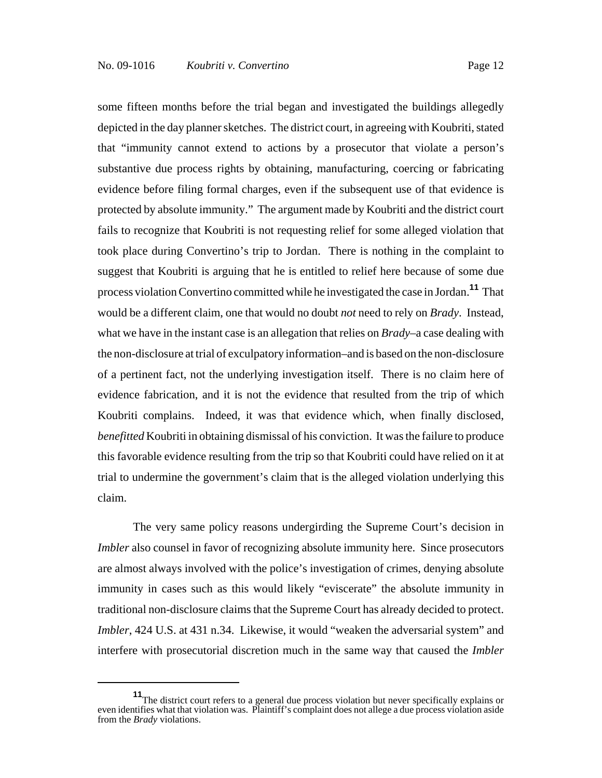some fifteen months before the trial began and investigated the buildings allegedly depicted in the day planner sketches. The district court, in agreeing with Koubriti, stated that "immunity cannot extend to actions by a prosecutor that violate a person's substantive due process rights by obtaining, manufacturing, coercing or fabricating evidence before filing formal charges, even if the subsequent use of that evidence is protected by absolute immunity." The argument made by Koubriti and the district court fails to recognize that Koubriti is not requesting relief for some alleged violation that took place during Convertino's trip to Jordan. There is nothing in the complaint to suggest that Koubriti is arguing that he is entitled to relief here because of some due process violation Convertino committed while he investigated the case in Jordan.**<sup>11</sup>** That would be a different claim, one that would no doubt *not* need to rely on *Brady*. Instead, what we have in the instant case is an allegation that relies on *Brady*–a case dealing with the non-disclosure at trial of exculpatory information–and is based on the non-disclosure of a pertinent fact, not the underlying investigation itself. There is no claim here of evidence fabrication, and it is not the evidence that resulted from the trip of which Koubriti complains. Indeed, it was that evidence which, when finally disclosed, *benefitted* Koubriti in obtaining dismissal of his conviction. It was the failure to produce this favorable evidence resulting from the trip so that Koubriti could have relied on it at trial to undermine the government's claim that is the alleged violation underlying this claim.

The very same policy reasons undergirding the Supreme Court's decision in *Imbler* also counsel in favor of recognizing absolute immunity here. Since prosecutors are almost always involved with the police's investigation of crimes, denying absolute immunity in cases such as this would likely "eviscerate" the absolute immunity in traditional non-disclosure claims that the Supreme Court has already decided to protect. *Imbler*, 424 U.S. at 431 n.34. Likewise, it would "weaken the adversarial system" and interfere with prosecutorial discretion much in the same way that caused the *Imbler*

**<sup>11</sup>**The district court refers to a general due process violation but never specifically explains or even identifies what that violation was. Plaintiff's complaint does not allege a due process violation aside from the *Brady* violations.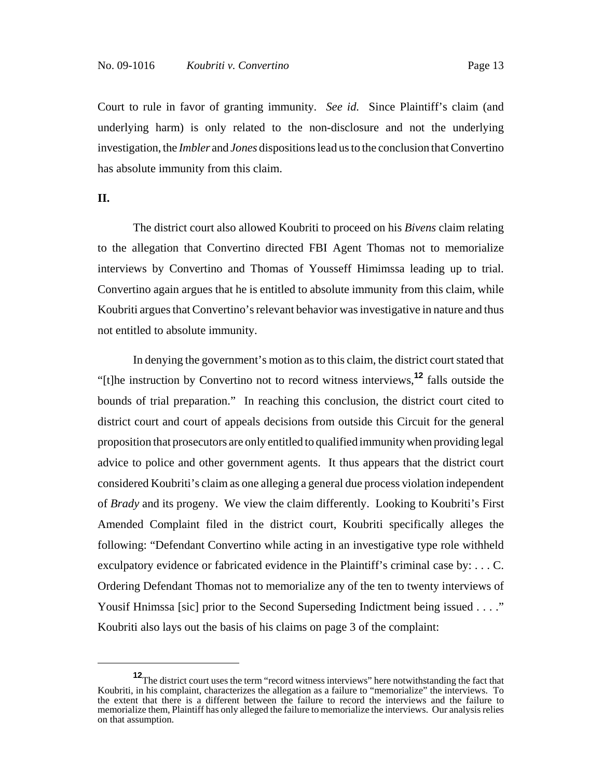Court to rule in favor of granting immunity. *See id.* Since Plaintiff's claim (and underlying harm) is only related to the non-disclosure and not the underlying investigation, the *Imbler* and *Jones* dispositions lead us to the conclusion that Convertino has absolute immunity from this claim.

**II.**

The district court also allowed Koubriti to proceed on his *Bivens* claim relating to the allegation that Convertino directed FBI Agent Thomas not to memorialize interviews by Convertino and Thomas of Yousseff Himimssa leading up to trial. Convertino again argues that he is entitled to absolute immunity from this claim, while Koubriti argues that Convertino's relevant behavior was investigative in nature and thus not entitled to absolute immunity.

In denying the government's motion as to this claim, the district court stated that "[t]he instruction by Convertino not to record witness interviews,**<sup>12</sup>** falls outside the bounds of trial preparation." In reaching this conclusion, the district court cited to district court and court of appeals decisions from outside this Circuit for the general proposition that prosecutors are only entitled to qualified immunity when providing legal advice to police and other government agents. It thus appears that the district court considered Koubriti's claim as one alleging a general due process violation independent of *Brady* and its progeny. We view the claim differently. Looking to Koubriti's First Amended Complaint filed in the district court, Koubriti specifically alleges the following: "Defendant Convertino while acting in an investigative type role withheld exculpatory evidence or fabricated evidence in the Plaintiff's criminal case by: . . . C. Ordering Defendant Thomas not to memorialize any of the ten to twenty interviews of Yousif Hnimssa [sic] prior to the Second Superseding Indictment being issued . . . ." Koubriti also lays out the basis of his claims on page 3 of the complaint:

**<sup>12</sup>**The district court uses the term "record witness interviews" here notwithstanding the fact that Koubriti, in his complaint, characterizes the allegation as a failure to "memorialize" the interviews. To the extent that there is a different between the failure to record the interviews and the failure to memorialize them, Plaintiff has only alleged the failure to memorialize the interviews. Our analysis relies on that assumption.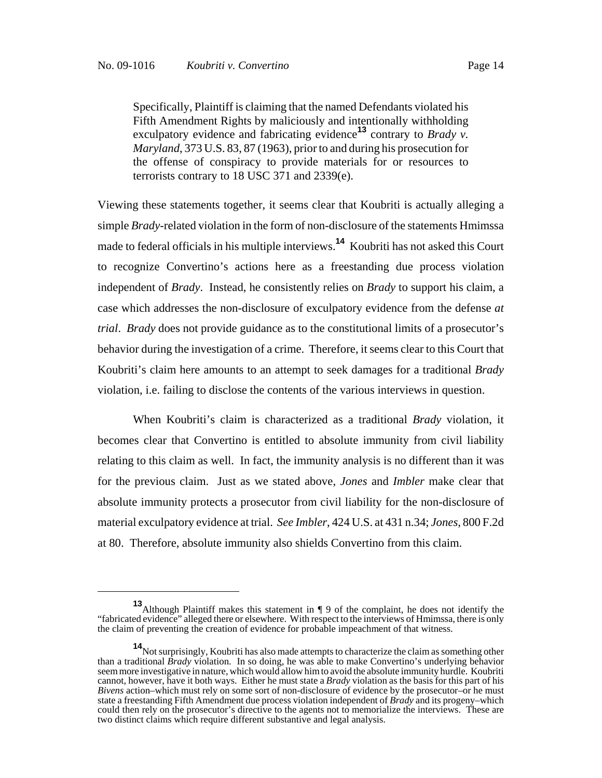terrorists contrary to 18 USC 371 and 2339(e).

Specifically, Plaintiff is claiming that the named Defendants violated his Fifth Amendment Rights by maliciously and intentionally withholding exculpatory evidence and fabricating evidence**13** contrary to *Brady v. Maryland*, 373 U.S. 83, 87 (1963), prior to and during his prosecution for the offense of conspiracy to provide materials for or resources to

Viewing these statements together, it seems clear that Koubriti is actually alleging a simple *Brady*-related violation in the form of non-disclosure of the statements Hmimssa made to federal officials in his multiple interviews.**14** Koubriti has not asked this Court to recognize Convertino's actions here as a freestanding due process violation independent of *Brady*. Instead, he consistently relies on *Brady* to support his claim, a case which addresses the non-disclosure of exculpatory evidence from the defense *at trial*. *Brady* does not provide guidance as to the constitutional limits of a prosecutor's behavior during the investigation of a crime. Therefore, it seems clear to this Court that Koubriti's claim here amounts to an attempt to seek damages for a traditional *Brady* violation, i.e. failing to disclose the contents of the various interviews in question.

When Koubriti's claim is characterized as a traditional *Brady* violation, it becomes clear that Convertino is entitled to absolute immunity from civil liability relating to this claim as well. In fact, the immunity analysis is no different than it was for the previous claim. Just as we stated above, *Jones* and *Imbler* make clear that absolute immunity protects a prosecutor from civil liability for the non-disclosure of material exculpatory evidence at trial. *See Imbler*, 424 U.S. at 431 n.34; *Jones*, 800 F.2d at 80. Therefore, absolute immunity also shields Convertino from this claim.

**<sup>13</sup>**Although Plaintiff makes this statement in ¶ 9 of the complaint, he does not identify the "fabricated evidence" alleged there or elsewhere. With respect to the interviews of Hmimssa, there is only the claim of preventing the creation of evidence for probable impeachment of that witness.

**<sup>14</sup>**Not surprisingly, Koubriti has also made attempts to characterize the claim as something other than a traditional *Brady* violation. In so doing, he was able to make Convertino's underlying behavior seem more investigative in nature, which would allow him to avoid the absolute immunity hurdle. Koubriti cannot, however, have it both ways. Either he must state a *Brady* violation as the basis for this part of his *Bivens* action–which must rely on some sort of non-disclosure of evidence by the prosecutor–or he must state a freestanding Fifth Amendment due process violation independent of *Brady* and its progeny–which could then rely on the prosecutor's directive to the agents not to memorialize the interviews. These are two distinct claims which require different substantive and legal analysis.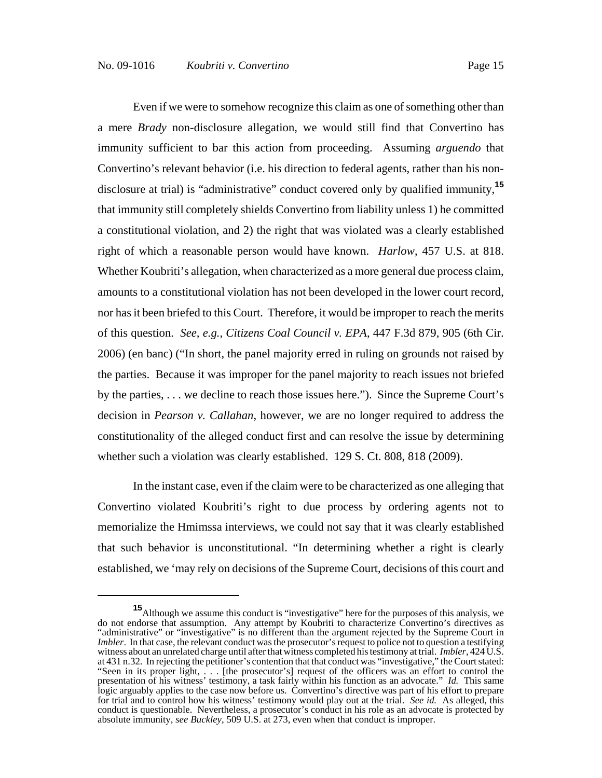Even if we were to somehow recognize this claim as one of something other than a mere *Brady* non-disclosure allegation, we would still find that Convertino has immunity sufficient to bar this action from proceeding. Assuming *arguendo* that Convertino's relevant behavior (i.e. his direction to federal agents, rather than his nondisclosure at trial) is "administrative" conduct covered only by qualified immunity,**<sup>15</sup>** that immunity still completely shields Convertino from liability unless 1) he committed a constitutional violation, and 2) the right that was violated was a clearly established right of which a reasonable person would have known. *Harlow*, 457 U.S. at 818. Whether Koubriti's allegation, when characterized as a more general due process claim, amounts to a constitutional violation has not been developed in the lower court record, nor has it been briefed to this Court. Therefore, it would be improper to reach the merits of this question. *See, e.g.*, *Citizens Coal Council v. EPA*, 447 F.3d 879, 905 (6th Cir. 2006) (en banc) ("In short, the panel majority erred in ruling on grounds not raised by the parties. Because it was improper for the panel majority to reach issues not briefed by the parties, . . . we decline to reach those issues here."). Since the Supreme Court's decision in *Pearson v. Callahan*, however, we are no longer required to address the constitutionality of the alleged conduct first and can resolve the issue by determining whether such a violation was clearly established. 129 S. Ct. 808, 818 (2009).

In the instant case, even if the claim were to be characterized as one alleging that Convertino violated Koubriti's right to due process by ordering agents not to memorialize the Hmimssa interviews, we could not say that it was clearly established that such behavior is unconstitutional. "In determining whether a right is clearly established, we 'may rely on decisions of the Supreme Court, decisions of this court and

**<sup>15</sup>**Although we assume this conduct is "investigative" here for the purposes of this analysis, we do not endorse that assumption. Any attempt by Koubriti to characterize Convertino's directives as "administrative" or "investigative" is no different than the argument rejected by the Supreme Court in *Imbler*. In that case, the relevant conduct was the prosecutor's request to police not to question a testifying witness about an unrelated charge until after that witness completed his testimony at trial. *Imbler*, 424 U.S. at 431 n.32. In rejecting the petitioner's contention that that conduct was "investigative," the Court stated: "Seen in its proper light, . . . [the prosecutor's] request of the officers was an effort to control the presentation of his witness' testimony, a task fairly within his function as an advocate." *Id.* This same logic arguably applies to the case now before us. Convertino's directive was part of his effort to prepare for trial and to control how his witness' testimony would play out at the trial. *See id.* As alleged, this conduct is questionable. Nevertheless, a prosecutor's conduct in his role as an advocate is protected by absolute immunity, *see Buckley*, 509 U.S. at 273, even when that conduct is improper.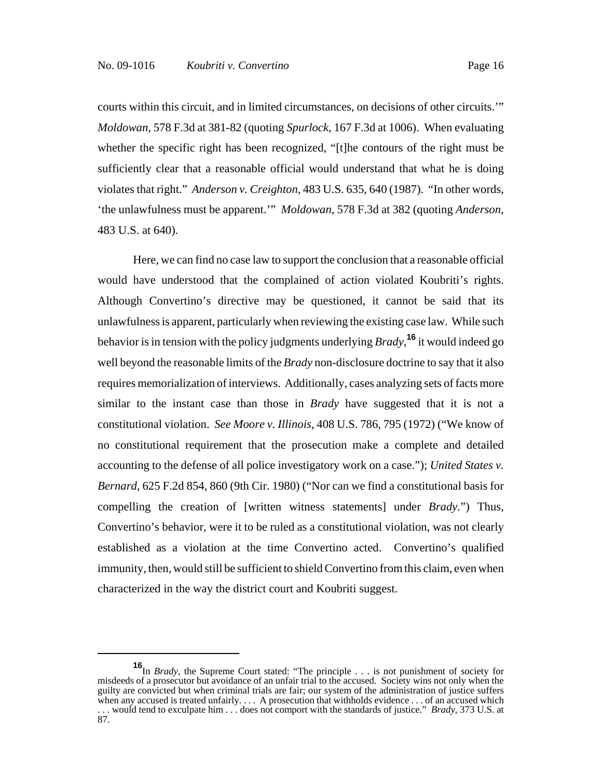courts within this circuit, and in limited circumstances, on decisions of other circuits.'" *Moldowan*, 578 F.3d at 381-82 (quoting *Spurlock*, 167 F.3d at 1006). When evaluating whether the specific right has been recognized, "[t]he contours of the right must be sufficiently clear that a reasonable official would understand that what he is doing violates that right." *Anderson v. Creighton*, 483 U.S. 635, 640 (1987). "In other words, 'the unlawfulness must be apparent.'" *Moldowan*, 578 F.3d at 382 (quoting *Anderson*, 483 U.S. at 640).

Here, we can find no case law to support the conclusion that a reasonable official would have understood that the complained of action violated Koubriti's rights. Although Convertino's directive may be questioned, it cannot be said that its unlawfulness is apparent, particularly when reviewing the existing case law. While such behavior is in tension with the policy judgments underlying *Brady*, **<sup>16</sup>** it would indeed go well beyond the reasonable limits of the *Brady* non-disclosure doctrine to say that it also requires memorialization of interviews. Additionally, cases analyzing sets of facts more similar to the instant case than those in *Brady* have suggested that it is not a constitutional violation. *See Moore v. Illinois*, 408 U.S. 786, 795 (1972) ("We know of no constitutional requirement that the prosecution make a complete and detailed accounting to the defense of all police investigatory work on a case."); *United States v. Bernard*, 625 F.2d 854, 860 (9th Cir. 1980) ("Nor can we find a constitutional basis for compelling the creation of [written witness statements] under *Brady*.") Thus, Convertino's behavior, were it to be ruled as a constitutional violation, was not clearly established as a violation at the time Convertino acted. Convertino's qualified immunity, then, would still be sufficient to shield Convertino from this claim, even when characterized in the way the district court and Koubriti suggest.

**<sup>16</sup>**In *Brady*, the Supreme Court stated: "The principle . . . is not punishment of society for misdeeds of a prosecutor but avoidance of an unfair trial to the accused. Society wins not only when the guilty are convicted but when criminal trials are fair; our system of the administration of justice suffers when any accused is treated unfairly. . . . A prosecution that withholds evidence . . . of an accused which . . . would tend to exculpate him . . . does not comport with the standards of justice." *Brady*, 373 U.S. at